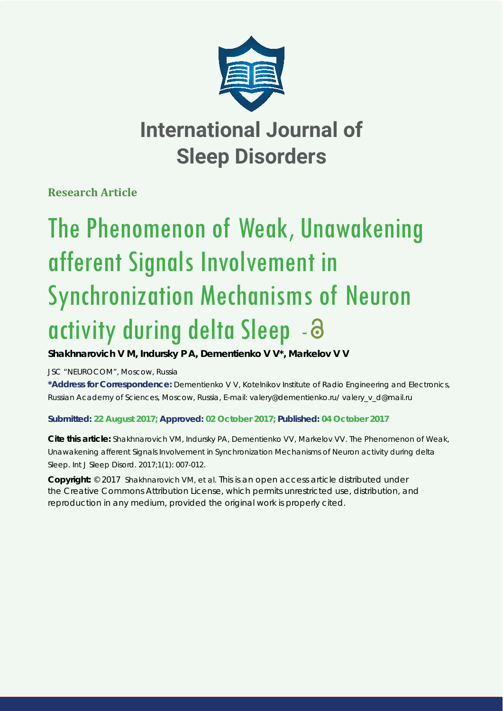

# **International Journal of Sleep Disorders**

**Research Article**

# The Phenomenon of Weak, Unawakening afferent Signals Involvement in Synchronization Mechanisms of Neuron activity during delta Sleep - 3

## **Shakhnarovich V M, Indursky P A, Dementienko V V\*, Markelov V V**

*JSC "NEUROCOM", Moscow, Russia*

**\*Address for Correspondence:** Dementienko V V, Kotelnikov Institute of Radio Engineering and Electronics, Russian Academy of Sciences, Moscow, Russia, E-mail: valery@dementienko.ru/ valery\_v\_d@mail.ru

### **Submitted: 22 August 2017; Approved: 02 October 2017; Published: 04 October 2017**

**Cite this article:** Shakhnarovich VM, Indursky PA, Dementienko VV, Markelov VV. The Phenomenon of Weak, Unawakening afferent Signals Involvement in Synchronization Mechanisms of Neuron activity during delta Sleep. Int J Sleep Disord. 2017;1(1): 007-012.

**Copyright:** © 2017 Shakhnarovich VM, et al. This is an open access article distributed under the Creative Commons Attribution License, which permits unrestricted use, distribution, and reproduction in any medium, provided the original work is properly cited.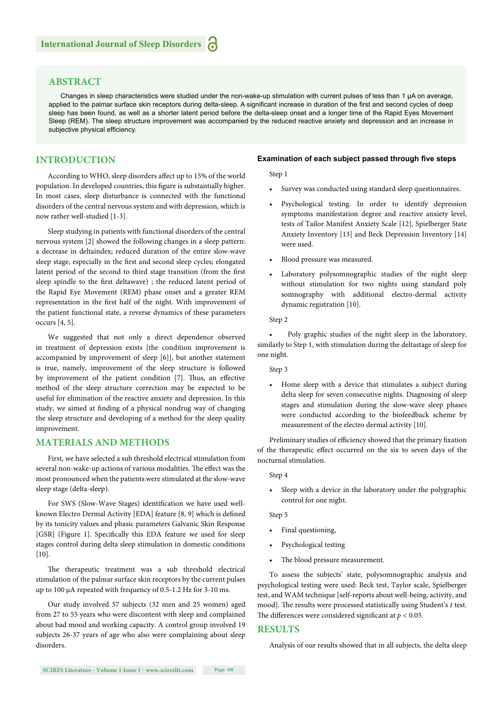#### **ABSTRACT**

Changes in sleep characteristics were studied under the non-wake-up stimulation with current pulses of less than 1 μA on average, applied to the palmar surface skin receptors during delta-sleep. A significant increase in duration of the first and second cycles of deep sleep has been found, as well as a shorter latent period before the delta-sleep onset and a longer time of the Rapid Eyes Movement Sleep (REM). The sleep structure improvement was accompanied by the reduced reactive anxiety and depression and an increase in subjective physical efficiency.

#### **INTRODUCTION**

According to WHO, sleep disorders affect up to 15% of the world population. In developed countries, this figure is substantially higher. In most cases, sleep disturbance is connected with the functional disorders of the central nervous system and with depression, which is now rather well-studied [1-3].

Sleep studying in patients with functional disorders of the central nervous system [2] showed the following changes in a sleep pattern: a decrease in deltaindex; reduced duration of the entire slow-wave sleep stage, especially in the first and second sleep cycles; elongated latent period of the second to third stage transition (from the first sleep spindle to the first deltawave) ; the reduced latent period of the Rapid Eye Movement (REM) phase onset and a greater REM representation in the first half of the night. With improvement of the patient functional state, a reverse dynamics of these parameters occurs [4, 5].

We suggested that not only a direct dependence observed in treatment of depression exists [the condition improvement is accompanied by improvement of sleep [6]], but another statement is true, namely, improvement of the sleep structure is followed by improvement of the patient condition [7]. Thus, an effective method of the sleep structure correction may be expected to be useful for elimination of the reactive anxiety and depression. In this study, we aimed at finding of a physical nondrug way of changing the sleep structure and developing of a method for the sleep quality improvement.

#### **MATERIALS AND METHODS**

First, we have selected a sub threshold electrical stimulation from several non-wake-up actions of various modalities. The effect was the most pronounced when the patients were stimulated at the slow-wave sleep stage (delta-sleep).

For SWS (Slow-Wave Stages) identification we have used wellknown Electro Dermal Activity [EDA] feature [8, 9] which is defined by its tonicity values and phasic parameters Galvanic Skin Response [GSR] (Figure 1]. Specifically this EDA feature we used for sleep stages control during delta sleep stimulation in domestic conditions  $[10]$ .

The therapeutic treatment was a sub threshold electrical stimulation of the palmar surface skin receptors by the current pulses up to 100 μA repeated with frequency of 0.5-1.2 Hz for 3-10 ms.

Our study involved 57 subjects (32 men and 25 women) aged from 27 to 55 years who were discontent with sleep and complained about bad mood and working capacity. A control group involved 19 subjects 26-37 years of age who also were complaining about sleep disorders.

#### **Examination of each subject passed through five steps**

Step 1

- Survey was conducted using standard sleep questionnaires.
- Psychological testing. In order to identify depression symptoms manifestation degree and reactive anxiety level, tests of Tailor Manifest Anxiety Scale [12], Spielberger State Anxiety Inventory [13] and Beck Depression Inventory [14] were used.
- Blood pressure was measured.
- Laboratory polysomnographic studies of the night sleep without stimulation for two nights using standard poly somnography with additional electro-dermal activity dynamic registration [10].

Step 2

• Poly graphic studies of the night sleep in the laboratory, similarly to Step 1, with stimulation during the deltastage of sleep for one night.

Step 3

• Home sleep with a device that stimulates a subject during delta sleep for seven consecutive nights. Diagnosing of sleep stages and stimulation during the slow-wave sleep phases were conducted according to the biofeedback scheme by measurement of the electro dermal activity [10].

Preliminary studies of efficiency showed that the primary fixation of the therapeutic effect occurred on the six to seven days of the nocturnal stimulation.

#### Step 4

• Sleep with a device in the laboratory under the polygraphic control for one night.

Step 5

- Final questioning,
- Psychological testing
- The blood pressure measurement.

To assess the subjects' state, polysomnographic analysis and psychological testing were used: Beck test, Taylor scale, Spielberger test, and WAM technique [self-reports about well-being, activity, and mood]. The results were processed statistically using Student's t test. The differences were considered significant at  $p < 0.05$ .

#### **RESULTS**

Analysis of our results showed that in all subjects, the delta sleep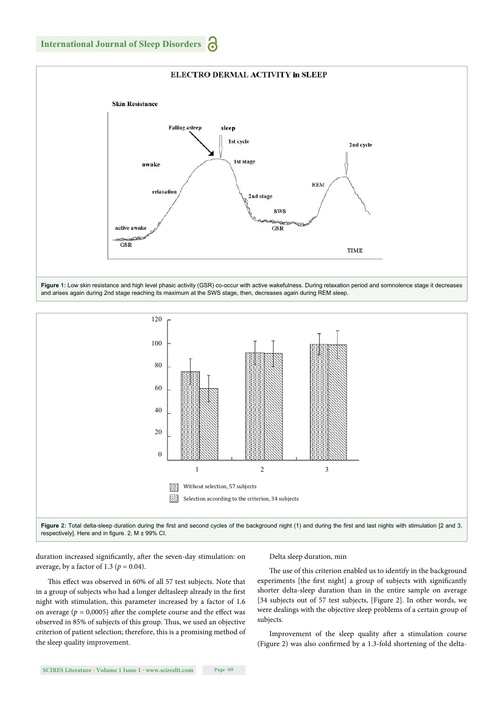

**Figure 1:** Low skin resistance and high level phasic activity (GSR) co-occur with active wakefulness. During relaxation period and somnolence stage it decreases and arises again during 2nd stage reaching its maximum at the SWS stage, then, decreases again during REM sleep.



respectively]. Here and in figure. 2,  $M \pm 99\%$  CI.

duration increased significantly, after the seven-day stimulation: on average, by a factor of 1.3 ( $p = 0.04$ ).

This effect was observed in 60% of all 57 test subjects. Note that in a group of subjects who had a longer deltasleep already in the first night with stimulation, this parameter increased by a factor of 1.6 on average ( $p = 0,0005$ ) after the complete course and the effect was observed in 85% of subjects of this group. Thus, we used an objective criterion of patient selection; therefore, this is a promising method of the sleep quality improvement.

#### Delta sleep duration, min

The use of this criterion enabled us to identify in the background experiments [the first night] a group of subjects with significantly shorter delta-sleep duration than in the entire sample on average [34 subjects out of 57 test subjects, [Figure 2]. In other words, we were dealings with the objective sleep problems of a certain group of subjects.

Improvement of the sleep quality after a stimulation course (Figure 2) was also confirmed by a 1.3-fold shortening of the delta-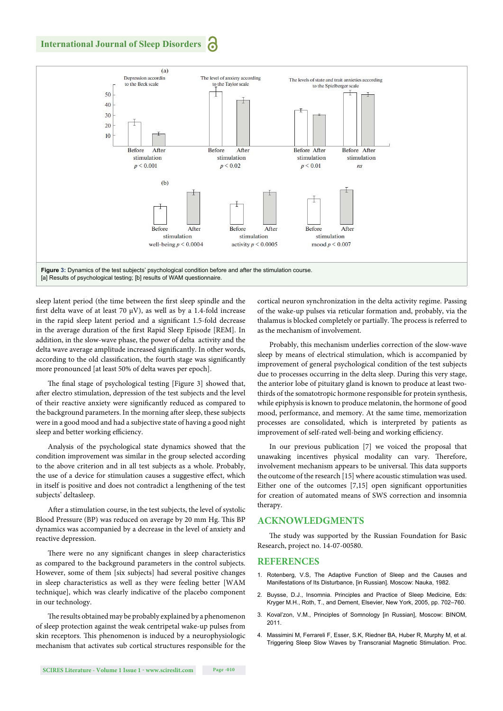

sleep latent period (the time between the first sleep spindle and the first delta wave of at least 70  $\mu$ V), as well as by a 1.4-fold increase in the rapid sleep latent period and a significant 1.5-fold decrease in the average duration of the first Rapid Sleep Episode [REM]. In addition, in the slow-wave phase, the power of delta activity and the delta wave average amplitude increased significantly. In other words, according to the old classification, the fourth stage was significantly more pronounced [at least 50% of delta waves per epoch].

The final stage of psychological testing [Figure 3] showed that, after electro stimulation, depression of the test subjects and the level of their reactive anxiety were significantly reduced as compared to the background parameters. In the morning after sleep, these subjects were in a good mood and had a subjective state of having a good night sleep and better working efficiency.

Analysis of the psychological state dynamics showed that the condition improvement was similar in the group selected according to the above criterion and in all test subjects as a whole. Probably, the use of a device for stimulation causes a suggestive effect, which in itself is positive and does not contradict a lengthening of the test subjects' deltasleep.

After a stimulation course, in the test subjects, the level of systolic Blood Pressure (BP) was reduced on average by 20 mm Hg. This BP dynamics was accompanied by a decrease in the level of anxiety and reactive depression.

There were no any significant changes in sleep characteristics as compared to the background parameters in the control subjects. However, some of them [six subjects] had several positive changes in sleep characteristics as well as they were feeling better [WAM technique], which was clearly indicative of the placebo component in our technology.

The results obtained may be probably explained by a phenomenon of sleep protection against the weak centripetal wake-up pulses from skin receptors. This phenomenon is induced by a neurophysiologic mechanism that activates sub cortical structures responsible for the cortical neuron synchronization in the delta activity regime. Passing of the wake-up pulses via reticular formation and, probably, via the thalamus is blocked completely or partially. The process is referred to as the mechanism of involvement.

Probably, this mechanism underlies correction of the slow-wave sleep by means of electrical stimulation, which is accompanied by improvement of general psychological condition of the test subjects due to processes occurring in the delta sleep. During this very stage, the anterior lobe of pituitary gland is known to produce at least twothirds of the somatotropic hormone responsible for protein synthesis, while epiphysis is known to produce melatonin, the hormone of good mood, performance, and memory. At the same time, memorization processes are consolidated, which is interpreted by patients as improvement of self-rated well-being and working efficiency.

In our previous publication [7] we voiced the proposal that unawaking incentives physical modality can vary. Therefore, involvement mechanism appears to be universal. This data supports the outcome of the research [15] where acoustic stimulation was used. Either one of the outcomes  $[7,15]$  open significant opportunities for creation of automated means of SWS correction and insomnia therapy.

#### **ACKNOWLEDGMENTS**

The study was supported by the Russian Foundation for Basic Research, project no. 14-07-00580.

#### **REFERENCES**

- 1. Rotenberg, V.S, The Adaptive Function of Sleep and the Causes and Manifestations of Its Disturbance, [in Russian]. Moscow: Nauka, 1982.
- 2. Buysse, D.J., Insomnia. Principles and Practice of Sleep Medicine*,* Eds: Kryger M.H., Roth, T., and Dement, Elsevier, New York, 2005, pp. 702–760.
- 3. Koval'zon, V.M., Principles of Somnology [in Russian], Moscow: BINOM, 2011.
- 4. Massimini M, Ferrareli F, Esser, S.K, Riedner BA, Huber R, Murphy M, et al. Triggering Sleep Slow Waves by Transcranial Magnetic Stimulation. Proc.